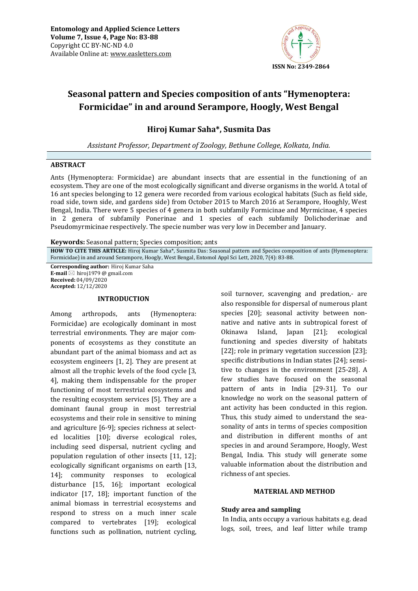

# **Seasonal pattern and Species composition of ants "Hymenoptera: Formicidae" in and around Serampore, Hoogly, West Bengal**

**Hiroj Kumar Saha\*, Susmita Das** 

*Assistant Professor, Department of Zoology, Bethune College, Kolkata, India.* 

# **ABSTRACT**

Ants (Hymenoptera: Formicidae) are abundant insects that are essential in the functioning of an ecosystem. They are one of the most ecologically significant and diverse organisms in the world. A total of 16 ant species belonging to 12 genera were recorded from various ecological habitats (Such as field side, road side, town side, and gardens side) from October 2015 to March 2016 at Serampore, Hooghly, West Bengal, India. There were 5 species of 4 genera in both subfamily Formicinae and Myrmicinae, 4 species in 2 genera of subfamily Ponerinae and 1 species of each subfamily Dolichoderinae and Pseudomyrmicinae respectively. The specie number was very low in December and January.

**Keywords:** Seasonal pattern; Species composition; ants

**HOW TO CITE THIS ARTICLE:** Hiroj Kumar Saha\*, Susmita Das: Seasonal pattern and Species composition of ants (Hymenoptera: Formicidae) in and around Serampore, Hoogly, West Bengal, Entomol Appl Sci Lett, 2020, 7(4): 83-88.

**Corresponding author:** Hiroj Kumar Saha **E-mail**  $\boxtimes$  hiroj1979 @ gmail.com **Received:** 04/09/2020 **Accepted:** 12/12/2020

# **INTRODUCTION**

Among arthropods, ants (Hymenoptera: Formicidae) are ecologically dominant in most terrestrial environments. They are major components of ecosystems as they constitute an abundant part of the animal biomass and act as ecosystem engineers [1, 2]. They are present at almost all the trophic levels of the food cycle [3, 4], making them indispensable for the proper functioning of most terrestrial ecosystems and the resulting ecosystem services [5]. They are a dominant faunal group in most terrestrial ecosystems and their role in sensitive to mining and agriculture [6-9]; species richness at selected localities [10]; diverse ecological roles, including seed dispersal, nutrient cycling and population regulation of other insects [11, 12]; ecologically significant organisms on earth [13, 14]; community responses to ecological disturbance [15, 16]; important ecological indicator [17, 18]; important function of the animal biomass in terrestrial ecosystems and respond to stress on a much inner scale compared to vertebrates [19]; ecological functions such as pollination, nutrient cycling,

soil turnover, scavenging and predation,- are also responsible for dispersal of numerous plant species [20]; seasonal activity between nonnative and native ants in subtropical forest of Okinawa Island, Japan [21]; ecological functioning and species diversity of habitats [22]; role in primary vegetation succession [23]; specific distributions in Indian states [24]; sensitive to changes in the environment [25-28]. A few studies have focused on the seasonal pattern of ants in India [29-31]. To our knowledge no work on the seasonal pattern of ant activity has been conducted in this region. Thus, this study aimed to understand the seasonality of ants in terms of species composition and distribution in different months of ant species in and around Serampore, Hoogly, West Bengal, India. This study will generate some valuable information about the distribution and richness of ant species.

# **MATERIAL AND METHOD**

# **Study area and sampling**

 In India, ants occupy a various habitats e.g. dead logs, soil, trees, and leaf litter while tramp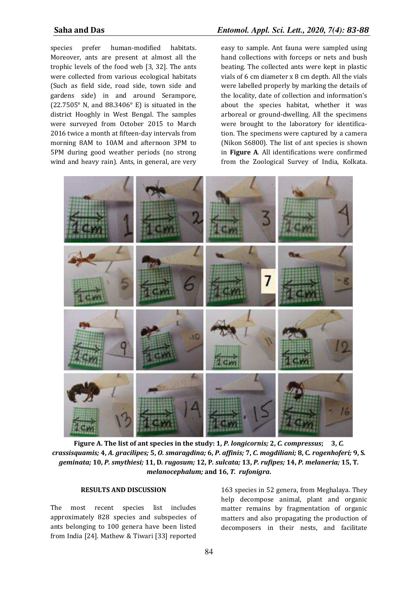species prefer human-modified habitats. Moreover, ants are present at almost all the trophic levels of the food web [3, 32]. The ants were collected from various ecological habitats (Such as field side, road side, town side and gardens side) in and around Serampore, (22.7505° N, and 88.3406° E) is situated in the district Hooghly in West Bengal. The samples were surveyed from October 2015 to March 2016 twice a month at fifteen-day intervals from morning 8AM to 10AM and afternoon 3PM to 5PM during good weather periods (no strong wind and heavy rain). Ants, in general, are very

# **Saha and Das** *Entomol. Appl. Sci. Lett., 2020, 7(4): 83-88*

easy to sample. Ant fauna were sampled using hand collections with forceps or nets and bush beating. The collected ants were kept in plastic vials of 6 cm diameter x 8 cm depth. All the vials were labelled properly by marking the details of the locality, date of collection and information's about the species habitat, whether it was arboreal or ground-dwelling. All the specimens were brought to the laboratory for identification. The specimens were captured by a camera (Nikon S6800). The list of ant species is shown in **Figure A**. All identifications were confirmed from the Zoological Survey of India, Kolkata.



**Figure A. The list of ant species in the study: 1,** *P. longicornis;* **2,** *C. compressus***; 3,** *C. crassisquamis;* **4,** *A. gracilipes;* **5,** *O. smaragdina;* **6,** *P. affinis;* **7,** *C. mogdiliani;* **8, C***. rogenhoferi;* **9, S***. geminata;* **10,** *P. smythiesi;* **11, D***. rugosum;* **12, P***. sulcata;* **13,** *P. rufipes;* **14,** *P. melaneria;* **15, T***. melanocephalum;* **and 16,** *T. rufonigra***.** 

# **RESULTS AND DISCUSSION**

The most recent species list includes approximately 828 species and subspecies of ants belonging to 100 genera have been listed from India [24]. Mathew & Tiwari [33] reported

163 species in 52 genera, from Meghalaya. They help decompose animal, plant and organic matter remains by fragmentation of organic matters and also propagating the production of decomposers in their nests, and facilitate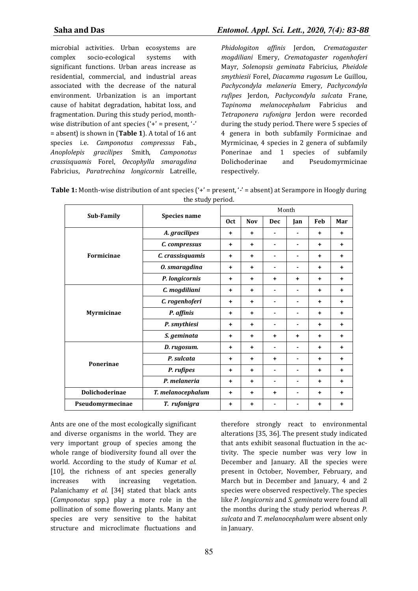microbial activities. Urban ecosystems are complex socio-ecological systems with significant functions. Urban areas increase as residential, commercial, and industrial areas associated with the decrease of the natural environment. Urbanization is an important cause of habitat degradation, habitat loss, and fragmentation. During this study period, monthwise distribution of ant species ('+' = present, '-' = absent) is shown in (**Table 1**). A total of 16 ant species i.e. *Camponotus compressus* Fab., *Anoplolepis gracilipes* Smith, *Camponotus crassisquamis* Forel, *Oecophylla smaragdina*  Fabricius, *Paratrechina longicornis* Latreille, *Phidologiton affinis* Jerdon, *Crematogaster mogdiliani* Emery, *Crematogaster rogenhoferi*  Mayr, *Solenopsis geminata* Fabricius, *Pheidole smythiesii* Forel, *Diacamma rugosum* Le Guillou, *Pachycondyla melaneria* Emery, *Pachycondyla rufipes* Jerdon, *Pachycondyla sulcata* Frane, *Tapinoma melanocephalum* Fabricius and *Tetraponera rufonigra* Jerdon were recorded during the study period. There were 5 species of 4 genera in both subfamily Formicinae and Myrmicinae, 4 species in 2 genera of subfamily Ponerinae and 1 species of subfamily Dolichoderinae and Pseudomyrmicinae respectively.

| <b>Table 1:</b> Month-wise distribution of ant species $(4)$ = present, $(4)$ = absent) at Serampore in Hoogly during |
|-----------------------------------------------------------------------------------------------------------------------|
| the study period.                                                                                                     |

| Sub-Family        | <b>Species name</b> | Month      |            |                |           |           |           |
|-------------------|---------------------|------------|------------|----------------|-----------|-----------|-----------|
|                   |                     | <b>Oct</b> | <b>Nov</b> | <b>Dec</b>     | Jan       | Feb       | Mar       |
| <b>Formicinae</b> | A. gracilipes       | $\ddot{}$  | $\ddot{}$  |                |           | $\ddot{}$ | $\ddot{}$ |
|                   | C. compressus       | $\ddot{}$  | $\ddot{}$  |                |           | ÷         | $\ddot{}$ |
|                   | C. crassisquamis    | $\ddot{}$  | $\ddot{}$  |                |           | $\ddot{}$ | $\ddot{}$ |
|                   | 0. smaragdina       | $\ddot{}$  | $\ddot{}$  | ۰              |           | $\ddot{}$ | $\ddot{}$ |
|                   | P. longicornis      | $\ddot{}$  | $\ddot{}$  | $\ddot{}$      | $\ddot{}$ | $\ddot{}$ | $\ddot{}$ |
| Myrmicinae        | C. mogdiliani       | $\ddot{}$  | $\ddot{}$  | ۰              | ۰         | $\ddot{}$ | $\ddot{}$ |
|                   | C. rogenhoferi      | $\ddot{}$  | $\ddot{}$  | ۰              | ٠         | ÷.        | $\ddot{}$ |
|                   | P. affinis          | $\ddot{}$  | $\ddot{}$  |                |           | $\ddot{}$ | $\ddot{}$ |
|                   | P. smythiesi        | $\ddot{}$  | $\ddot{}$  | $\blacksquare$ | ٠         | $\ddot{}$ | $\ddot{}$ |
|                   | S. geminata         | $\ddot{}$  | $\ddot{}$  | $\ddot{}$      | $\ddot{}$ | $\ddot{}$ | $\ddot{}$ |
| Ponerinae         | D. rugosum.         | $\ddot{}$  | $\ddot{}$  |                |           | $\ddot{}$ | $\ddot{}$ |
|                   | P. sulcata          | $\ddot{}$  | $+$        | $\ddot{}$      |           | $\ddot{}$ | $\ddot{}$ |
|                   | P. rufipes          | $\ddot{}$  | ٠          |                |           | ÷         | $\ddot{}$ |
|                   | P. melaneria        | $\ddot{}$  | $\ddot{}$  |                |           | $\ddot{}$ | $\ddot{}$ |
| Dolichoderinae    | T. melanocephalum   | $\ddot{}$  | $\ddot{}$  | $\ddot{}$      |           | ÷         | $\ddot{}$ |
| Pseudomyrmecinae  | T. rufonigra        | +          | $\ddot{}$  |                |           | ÷         | $\ddot{}$ |

Ants are one of the most ecologically significant and diverse organisms in the world. They are very important group of species among the whole range of biodiversity found all over the world. According to the study of Kumar *et al.* [10], the richness of ant species generally increases with increasing vegetation. Palanichamy *et al.* [34] stated that black ants (*Camponotus* spp.) play a more role in the pollination of some flowering plants. Many ant species are very sensitive to the habitat structure and microclimate fluctuations and therefore strongly react to environmental alterations [35, 36]. The present study indicated that ants exhibit seasonal fluctuation in the activity. The specie number was very low in December and January. All the species were present in October, November, February, and March but in December and January, 4 and 2 species were observed respectively. The species like *P. longicornis* and *S. geminata* were found all the months during the study period whereas *P. sulcata* and *T. melanocephalum* were absent only in January.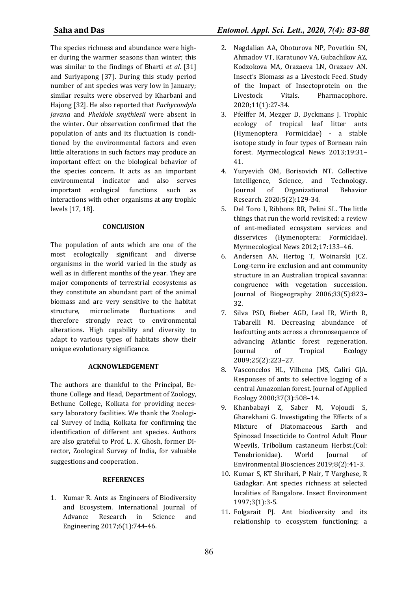The species richness and abundance were higher during the warmer seasons than winter; this was similar to the findings of Bharti *et al*. [31] and Suriyapong [37]. During this study period number of ant species was very low in January; similar results were observed by Kharbani and Hajong [32]. He also reported that *Pachycondyla javana* and *Pheidole smythiesii* were absent in the winter. Our observation confirmed that the population of ants and its fluctuation is conditioned by the environmental factors and even little alterations in such factors may produce an important effect on the biological behavior of the species concern. It acts as an important environmental indicator and also serves important ecological functions such as interactions with other organisms at any trophic levels [17, 18].

# **CONCLUSION**

The population of ants which are one of the most ecologically significant and diverse organisms in the world varied in the study as well as in different months of the year. They are major components of terrestrial ecosystems as they constitute an abundant part of the animal biomass and are very sensitive to the habitat structure, microclimate fluctuations and therefore strongly react to environmental alterations. High capability and diversity to adapt to various types of habitats show their unique evolutionary significance.

# **ACKNOWLEDGEMENT**

The authors are thankful to the Principal, Bethune College and Head, Department of Zoology, Bethune College, Kolkata for providing necessary laboratory facilities. We thank the Zoological Survey of India, Kolkata for confirming the identification of different ant species. Authors are also grateful to Prof. L. K. Ghosh, former Director, Zoological Survey of India, for valuable suggestions and cooperation.

# **REFERENCES**

1. Kumar R. Ants as Engineers of Biodiversity and Ecosystem. International Journal of Advance Research in Science and Engineering 2017;6(1):744-46.

- 2. Nagdalian AA, Oboturova NP, Povetkin SN, Ahmadov VT, Karatunov VA, Gubachikov AZ, Kodzokova MA, Orazaeva LN, Orazaev AN. Insect's Biomass as a Livestock Feed. Study of the Impact of Insectoprotein on the Livestock Vitals. Pharmacophore. 2020;11(1):27-34.
- 3. Pfeiffer M, Mezger D, Dyckmans J. Trophic ecology of tropical leaf litter ants (Hymenoptera Formicidae) - a stable isotope study in four types of Bornean rain forest. Myrmecological News 2013;19:31– 41.
- 4. Yuryevich OM, Borisovich NT. Collective Intelligence, Science, and Technology. Journal of Organizational Behavior Research. 2020;5(2):129-34.
- 5. Del Toro I, Ribbons RR, Pelini SL. The little things that run the world revisited: a review of ant-mediated ecosystem services and disservices (Hymenoptera: Formicidae). Myrmecological News 2012;17:133–46.
- 6. Andersen AN, Hertog T, Woinarski JCZ. Long-term ire exclusion and ant community structure in an Australian tropical savanna: congruence with vegetation succession. Journal of Biogeography 2006;33(5):823– 32.
- 7. Silva PSD, Bieber AGD, Leal IR, Wirth R, Tabarelli M. Decreasing abundance of leafcutting ants across a chronosequence of advancing Atlantic forest regeneration. Journal of Tropical Ecology 2009;25(2):223–27.
- 8. Vasconcelos HL, Vilhena JMS, Caliri GJA. Responses of ants to selective logging of a central Amazonian forest. Journal of Applied Ecology 2000;37(3):508–14.
- 9. Khanbabayi Z, Saber M, Vojoudi S, Gharekhani G. Investigating the Effects of a Mixture of Diatomaceous Earth and Spinosad Insecticide to Control Adult Flour Weevils, Tribolium castaneum Herbst.(Col: Tenebrionidae). World Journal of Environmental Biosciences 2019;8(2):41-3.
- 10. Kumar S, KT Shrihari, P Nair, T Varghese, R Gadagkar. Ant species richness at selected localities of Bangalore. Insect Environment 1997;3(1):3-5.
- 11. Folgarait PJ. Ant biodiversity and its relationship to ecosystem functioning: a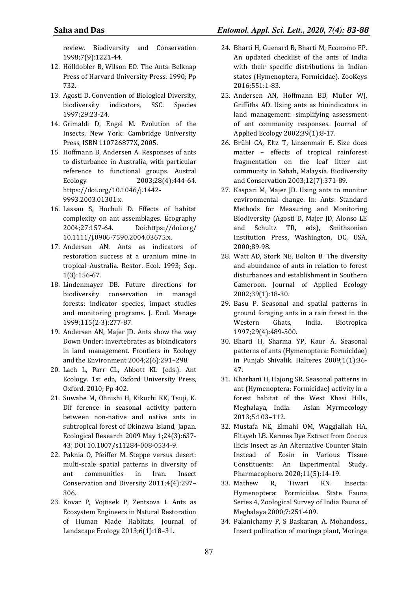review. Biodiversity and Conservation 1998;7(9):1221-44.

- 12. Hölldobler B, Wilson EO. The Ants. Belknap Press of Harvard University Press. 1990; Pp 732.
- 13. Agosti D. Convention of Biological Diversity, biodiversity indicators, SSC. Species 1997;29:23-24.
- 14. Grimaldi D, Engel M. Evolution of the Insects, New York: Cambridge University Press, ISBN 110726877X, 2005.
- 15. Hoffmann B, Andersen A. Responses of ants to disturbance in Australia, with particular reference to functional groups. Austral Ecology 2003;28(4):444-64. https://doi.org/10.1046/j.1442- 9993.2003.01301.x.
- 16. Lassau S, Hochuli D. Effects of habitat complexity on ant assemblages. Ecography 2004;27:157-64. Doi:https://doi.org/ 10.1111/j.0906-7590.2004.03675.x.
- 17. Andersen AN. Ants as indicators of restoration success at a uranium mine in tropical Australia. Restor. Ecol. 1993; Sep. 1(3):156-67.
- 18. Lindenmayer DB. Future directions for biodiversity conservation in managd forests: indicator species, impact studies and monitoring programs. J. Ecol. Manage 1999;115(2-3):277-87.
- 19. Andersen AN, Majer JD. Ants show the way Down Under: invertebrates as bioindicators in land management. Frontiers in Ecology and the Environment 2004;2(6):291–298.
- 20. Lach L, Parr CL, Abbott KL (eds.). Ant Ecology. 1st edn, Oxford University Press, Oxford. 2010; Pp 402.
- 21. Suwabe M, Ohnishi H, Kikuchi KK, Tsuji, K. Dif ference in seasonal activity pattern between non-native and native ants in subtropical forest of Okinawa Island, Japan. Ecological Research 2009 May 1;24(3):637- 43; DOI 10.1007/s11284-008-0534-9.
- 22. Paknia O, Pfeiffer M. Steppe versus desert: multi-scale spatial patterns in diversity of ant communities in Iran. Insect Conservation and Diversity 2011;4(4):297– 306.
- 23. Kovar P, Vojtisek P, Zentsova I. Ants as Ecosystem Engineers in Natural Restoration of Human Made Habitats, Journal of Landscape Ecology 2013;6(1):18–31.
- 24. Bharti H, Guenard B, Bharti M, Economo EP. An updated checklist of the ants of India with their specific distributions in Indian states (Hymenoptera, Formicidae). ZooKeys 2016;551:1-83.
- 25. Andersen AN, Hoffmann BD, Muller WJ, Griffiths AD. Using ants as bioindicators in land management: simplifying assessment of ant community responses. Journal of Applied Ecology 2002;39(1):8-17.
- 26. Brühl CA, Eltz T, Linsenmair E. Size does matter – effects of tropical rainforest fragmentation on the leaf litter ant community in Sabah, Malaysia. Biodiversity and Conservation 2003;12(7):371-89.
- 27. Kaspari M, Majer JD. Using ants to monitor environmental change. In: Ants: Standard Methods for Measuring and Monitoring Biodiversity (Agosti D, Majer JD, Alonso LE and Schultz TR, eds), Smithsonian Institution Press, Washington, DC, USA, 2000;89-98.
- 28. Watt AD, Stork NE, Bolton B. The diversity and abundance of ants in relation to forest disturbances and establishment in Southern Cameroon. Journal of Applied Ecology 2002;39(1):18-30.
- 29. Basu P. Seasonal and spatial patterns in ground foraging ants in a rain forest in the Western Ghats, India. Biotropica 1997;29(4):489-500.
- 30. Bharti H, Sharma YP, Kaur A. Seasonal patterns of ants (Hymenoptera: Formicidae) in Punjab Shivalik. Halteres 2009;1(1):36- 47.
- 31. Kharbani H, Hajong SR. Seasonal patterns in ant (Hymenoptera: Formicidae) activity in a forest habitat of the West Khasi Hills, Meghalaya, India. Asian Myrmecology 2013;5:103–112.
- 32. Mustafa NE, Elmahi OM, Waggiallah HA, Eltayeb LB. Kermes Dye Extract from Coccus Ilicis Insect as An Alternative Counter Stain Instead of Eosin in Various Tissue Constituents: An Experimental Study. Pharmacophore. 2020;11(5):14-19.
- 33. Mathew R, Tiwari RN. Insecta: Hymenoptera: Formicidae. State Fauna Series 4, Zoological Survey of India Fauna of Meghalaya 2000;7:251-409.
- 34. Palanichamy P, S Baskaran, A. Mohandoss.. Insect pollination of moringa plant, Moringa